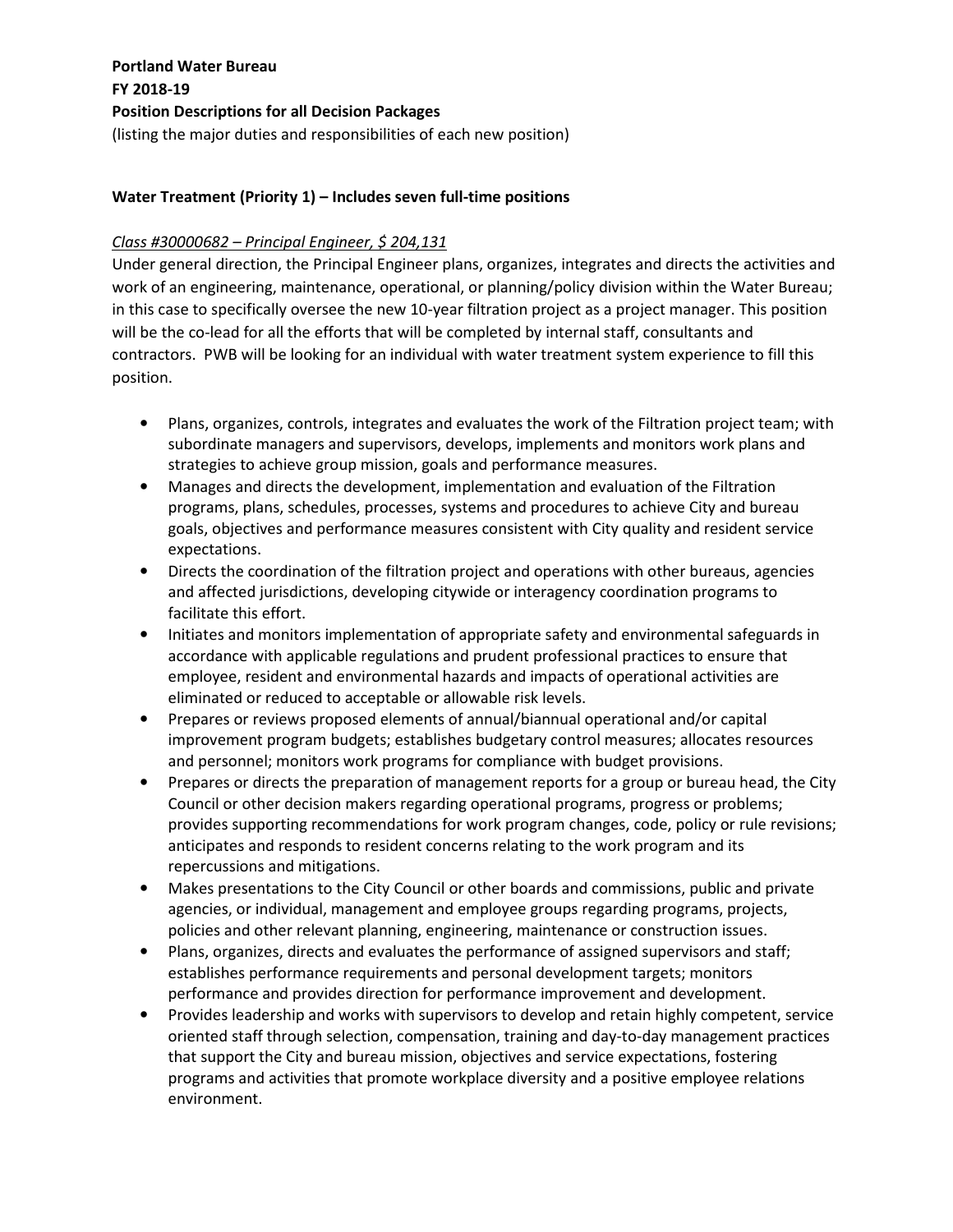### **Water Treatment (Priority 1) – Includes seven full-time positions**

#### *Class #30000682 – Principal Engineer, \$ 204,131*

Under general direction, the Principal Engineer plans, organizes, integrates and directs the activities and work of an engineering, maintenance, operational, or planning/policy division within the Water Bureau; in this case to specifically oversee the new 10-year filtration project as a project manager. This position will be the co-lead for all the efforts that will be completed by internal staff, consultants and contractors. PWB will be looking for an individual with water treatment system experience to fill this position.

- Plans, organizes, controls, integrates and evaluates the work of the Filtration project team; with subordinate managers and supervisors, develops, implements and monitors work plans and strategies to achieve group mission, goals and performance measures.
- Manages and directs the development, implementation and evaluation of the Filtration programs, plans, schedules, processes, systems and procedures to achieve City and bureau goals, objectives and performance measures consistent with City quality and resident service expectations.
- Directs the coordination of the filtration project and operations with other bureaus, agencies and affected jurisdictions, developing citywide or interagency coordination programs to facilitate this effort.
- Initiates and monitors implementation of appropriate safety and environmental safeguards in accordance with applicable regulations and prudent professional practices to ensure that employee, resident and environmental hazards and impacts of operational activities are eliminated or reduced to acceptable or allowable risk levels.
- Prepares or reviews proposed elements of annual/biannual operational and/or capital improvement program budgets; establishes budgetary control measures; allocates resources and personnel; monitors work programs for compliance with budget provisions.
- Prepares or directs the preparation of management reports for a group or bureau head, the City Council or other decision makers regarding operational programs, progress or problems; provides supporting recommendations for work program changes, code, policy or rule revisions; anticipates and responds to resident concerns relating to the work program and its repercussions and mitigations.
- Makes presentations to the City Council or other boards and commissions, public and private agencies, or individual, management and employee groups regarding programs, projects, policies and other relevant planning, engineering, maintenance or construction issues.
- Plans, organizes, directs and evaluates the performance of assigned supervisors and staff; establishes performance requirements and personal development targets; monitors performance and provides direction for performance improvement and development.
- Provides leadership and works with supervisors to develop and retain highly competent, service oriented staff through selection, compensation, training and day-to-day management practices that support the City and bureau mission, objectives and service expectations, fostering programs and activities that promote workplace diversity and a positive employee relations environment.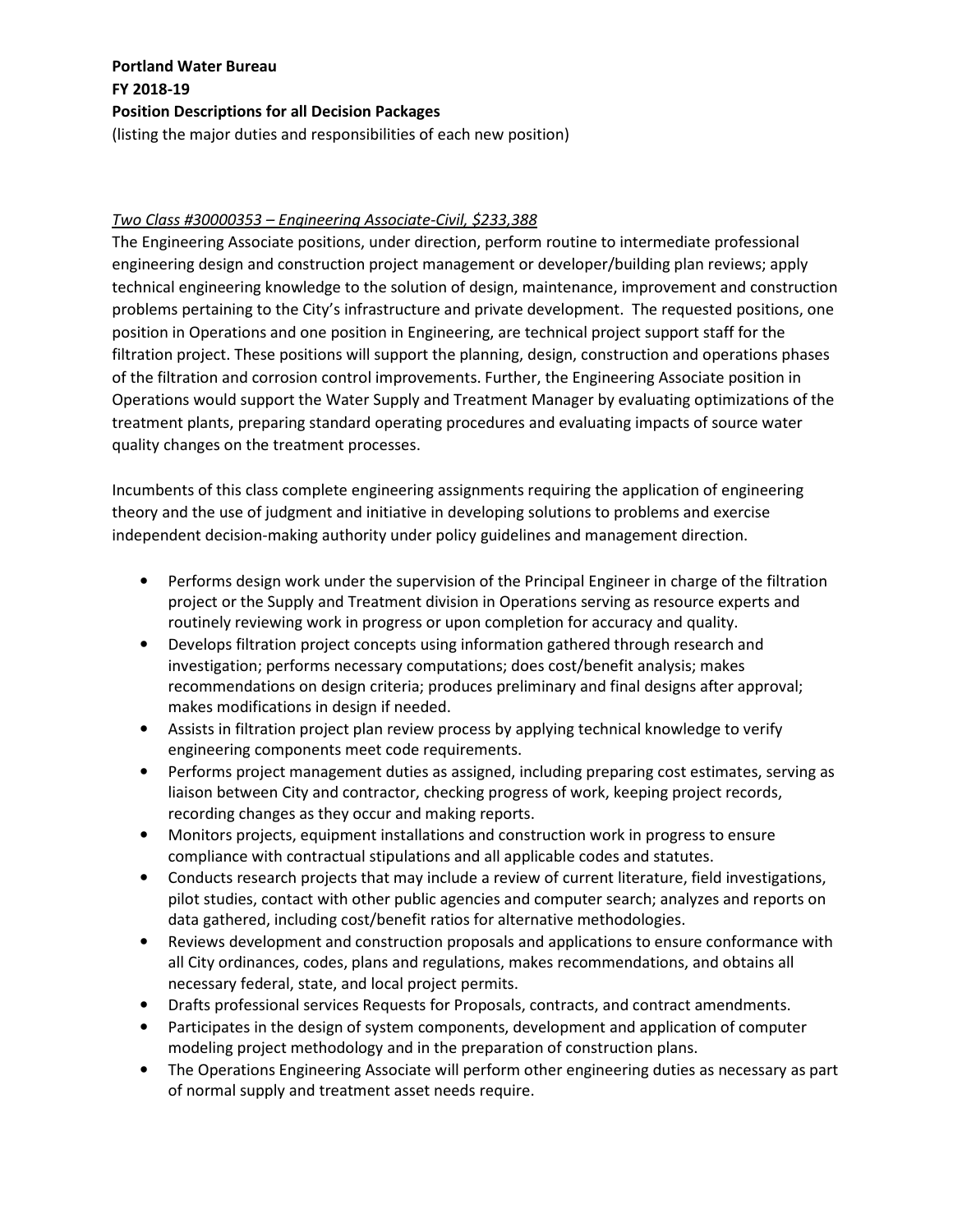### (listing the major duties and responsibilities of each new position)

### *Two Class #30000353 – Engineering Associate-Civil, \$233,388*

The Engineering Associate positions, under direction, perform routine to intermediate professional engineering design and construction project management or developer/building plan reviews; apply technical engineering knowledge to the solution of design, maintenance, improvement and construction problems pertaining to the City's infrastructure and private development. The requested positions, one position in Operations and one position in Engineering, are technical project support staff for the filtration project. These positions will support the planning, design, construction and operations phases of the filtration and corrosion control improvements. Further, the Engineering Associate position in Operations would support the Water Supply and Treatment Manager by evaluating optimizations of the treatment plants, preparing standard operating procedures and evaluating impacts of source water quality changes on the treatment processes.

Incumbents of this class complete engineering assignments requiring the application of engineering theory and the use of judgment and initiative in developing solutions to problems and exercise independent decision-making authority under policy guidelines and management direction.

- Performs design work under the supervision of the Principal Engineer in charge of the filtration project or the Supply and Treatment division in Operations serving as resource experts and routinely reviewing work in progress or upon completion for accuracy and quality.
- Develops filtration project concepts using information gathered through research and investigation; performs necessary computations; does cost/benefit analysis; makes recommendations on design criteria; produces preliminary and final designs after approval; makes modifications in design if needed.
- Assists in filtration project plan review process by applying technical knowledge to verify engineering components meet code requirements.
- Performs project management duties as assigned, including preparing cost estimates, serving as liaison between City and contractor, checking progress of work, keeping project records, recording changes as they occur and making reports.
- Monitors projects, equipment installations and construction work in progress to ensure compliance with contractual stipulations and all applicable codes and statutes.
- Conducts research projects that may include a review of current literature, field investigations, pilot studies, contact with other public agencies and computer search; analyzes and reports on data gathered, including cost/benefit ratios for alternative methodologies.
- Reviews development and construction proposals and applications to ensure conformance with all City ordinances, codes, plans and regulations, makes recommendations, and obtains all necessary federal, state, and local project permits.
- Drafts professional services Requests for Proposals, contracts, and contract amendments.
- Participates in the design of system components, development and application of computer modeling project methodology and in the preparation of construction plans.
- The Operations Engineering Associate will perform other engineering duties as necessary as part of normal supply and treatment asset needs require.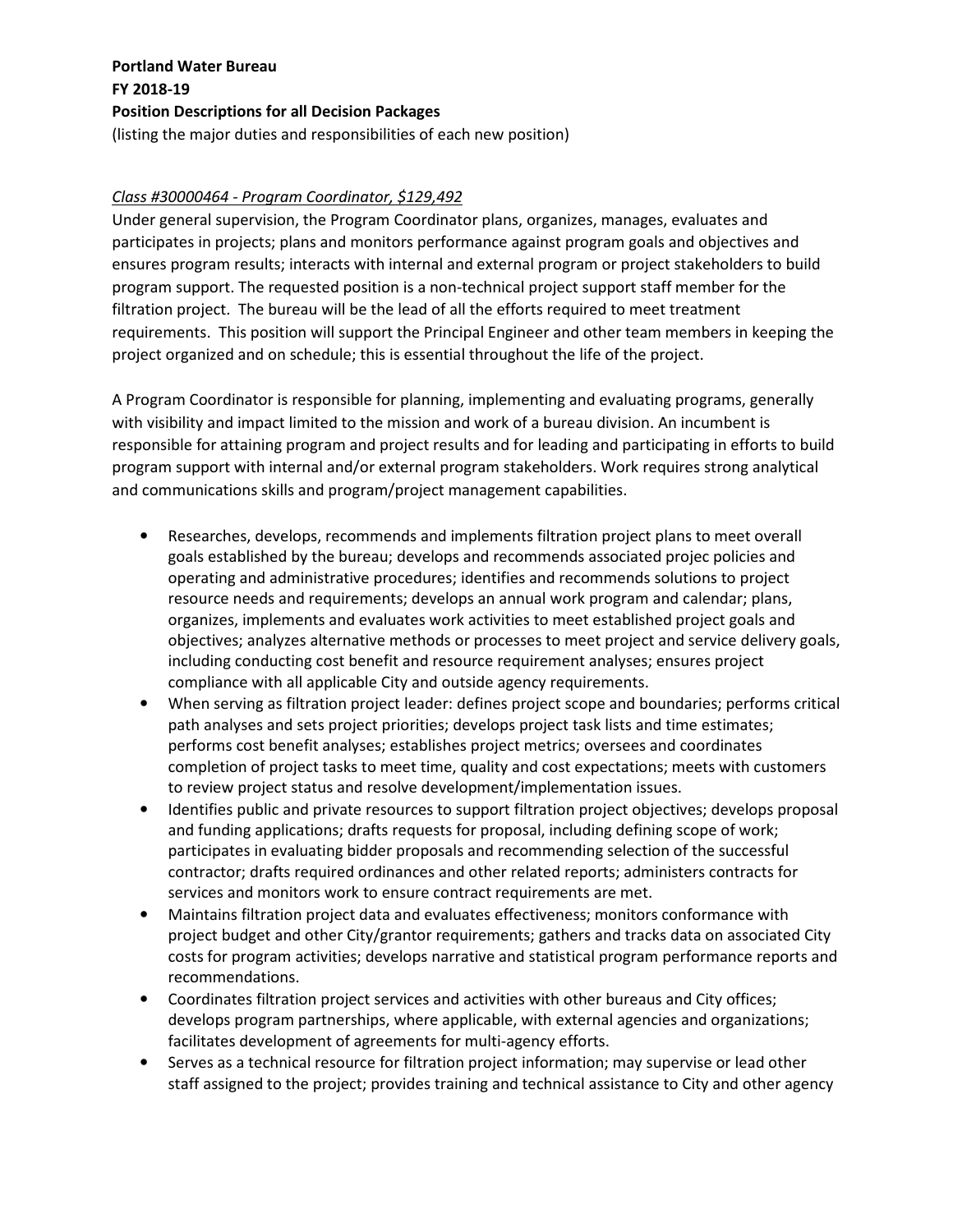### *Class #30000464 - Program Coordinator, \$129,492*

Under general supervision, the Program Coordinator plans, organizes, manages, evaluates and participates in projects; plans and monitors performance against program goals and objectives and ensures program results; interacts with internal and external program or project stakeholders to build program support. The requested position is a non-technical project support staff member for the filtration project. The bureau will be the lead of all the efforts required to meet treatment requirements. This position will support the Principal Engineer and other team members in keeping the project organized and on schedule; this is essential throughout the life of the project.

A Program Coordinator is responsible for planning, implementing and evaluating programs, generally with visibility and impact limited to the mission and work of a bureau division. An incumbent is responsible for attaining program and project results and for leading and participating in efforts to build program support with internal and/or external program stakeholders. Work requires strong analytical and communications skills and program/project management capabilities.

- Researches, develops, recommends and implements filtration project plans to meet overall goals established by the bureau; develops and recommends associated projec policies and operating and administrative procedures; identifies and recommends solutions to project resource needs and requirements; develops an annual work program and calendar; plans, organizes, implements and evaluates work activities to meet established project goals and objectives; analyzes alternative methods or processes to meet project and service delivery goals, including conducting cost benefit and resource requirement analyses; ensures project compliance with all applicable City and outside agency requirements.
- When serving as filtration project leader: defines project scope and boundaries; performs critical path analyses and sets project priorities; develops project task lists and time estimates; performs cost benefit analyses; establishes project metrics; oversees and coordinates completion of project tasks to meet time, quality and cost expectations; meets with customers to review project status and resolve development/implementation issues.
- Identifies public and private resources to support filtration project objectives; develops proposal and funding applications; drafts requests for proposal, including defining scope of work; participates in evaluating bidder proposals and recommending selection of the successful contractor; drafts required ordinances and other related reports; administers contracts for services and monitors work to ensure contract requirements are met.
- Maintains filtration project data and evaluates effectiveness; monitors conformance with project budget and other City/grantor requirements; gathers and tracks data on associated City costs for program activities; develops narrative and statistical program performance reports and recommendations.
- Coordinates filtration project services and activities with other bureaus and City offices; develops program partnerships, where applicable, with external agencies and organizations; facilitates development of agreements for multi-agency efforts.
- Serves as a technical resource for filtration project information; may supervise or lead other staff assigned to the project; provides training and technical assistance to City and other agency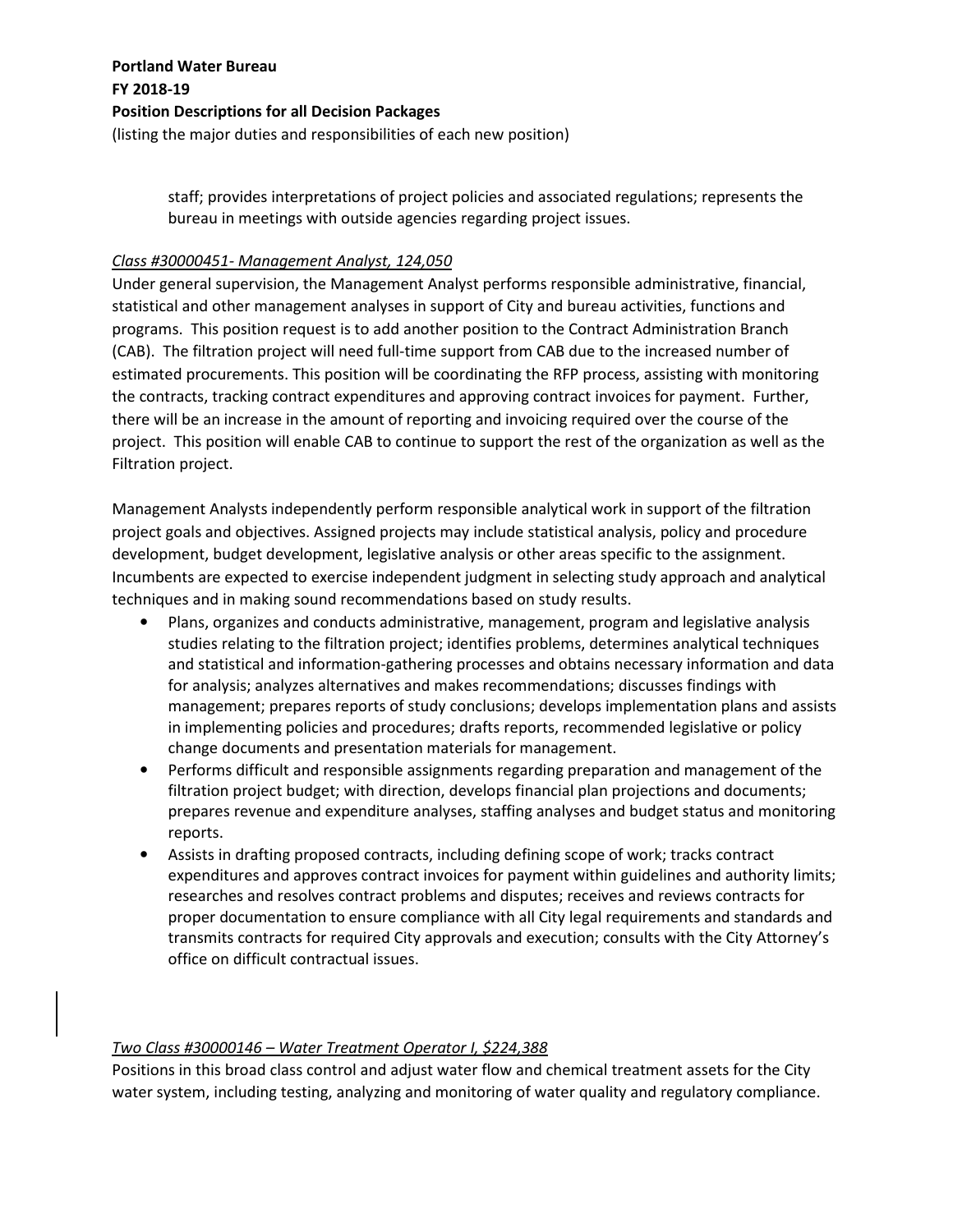staff; provides interpretations of project policies and associated regulations; represents the bureau in meetings with outside agencies regarding project issues.

### *Class #30000451- Management Analyst, 124,050*

Under general supervision, the Management Analyst performs responsible administrative, financial, statistical and other management analyses in support of City and bureau activities, functions and programs. This position request is to add another position to the Contract Administration Branch (CAB). The filtration project will need full-time support from CAB due to the increased number of estimated procurements. This position will be coordinating the RFP process, assisting with monitoring the contracts, tracking contract expenditures and approving contract invoices for payment. Further, there will be an increase in the amount of reporting and invoicing required over the course of the project. This position will enable CAB to continue to support the rest of the organization as well as the Filtration project.

Management Analysts independently perform responsible analytical work in support of the filtration project goals and objectives. Assigned projects may include statistical analysis, policy and procedure development, budget development, legislative analysis or other areas specific to the assignment. Incumbents are expected to exercise independent judgment in selecting study approach and analytical techniques and in making sound recommendations based on study results.

- Plans, organizes and conducts administrative, management, program and legislative analysis studies relating to the filtration project; identifies problems, determines analytical techniques and statistical and information-gathering processes and obtains necessary information and data for analysis; analyzes alternatives and makes recommendations; discusses findings with management; prepares reports of study conclusions; develops implementation plans and assists in implementing policies and procedures; drafts reports, recommended legislative or policy change documents and presentation materials for management.
- Performs difficult and responsible assignments regarding preparation and management of the filtration project budget; with direction, develops financial plan projections and documents; prepares revenue and expenditure analyses, staffing analyses and budget status and monitoring reports.
- Assists in drafting proposed contracts, including defining scope of work; tracks contract expenditures and approves contract invoices for payment within guidelines and authority limits; researches and resolves contract problems and disputes; receives and reviews contracts for proper documentation to ensure compliance with all City legal requirements and standards and transmits contracts for required City approvals and execution; consults with the City Attorney's office on difficult contractual issues.

### *Two Class #30000146 – Water Treatment Operator I, \$224,388*

Positions in this broad class control and adjust water flow and chemical treatment assets for the City water system, including testing, analyzing and monitoring of water quality and regulatory compliance.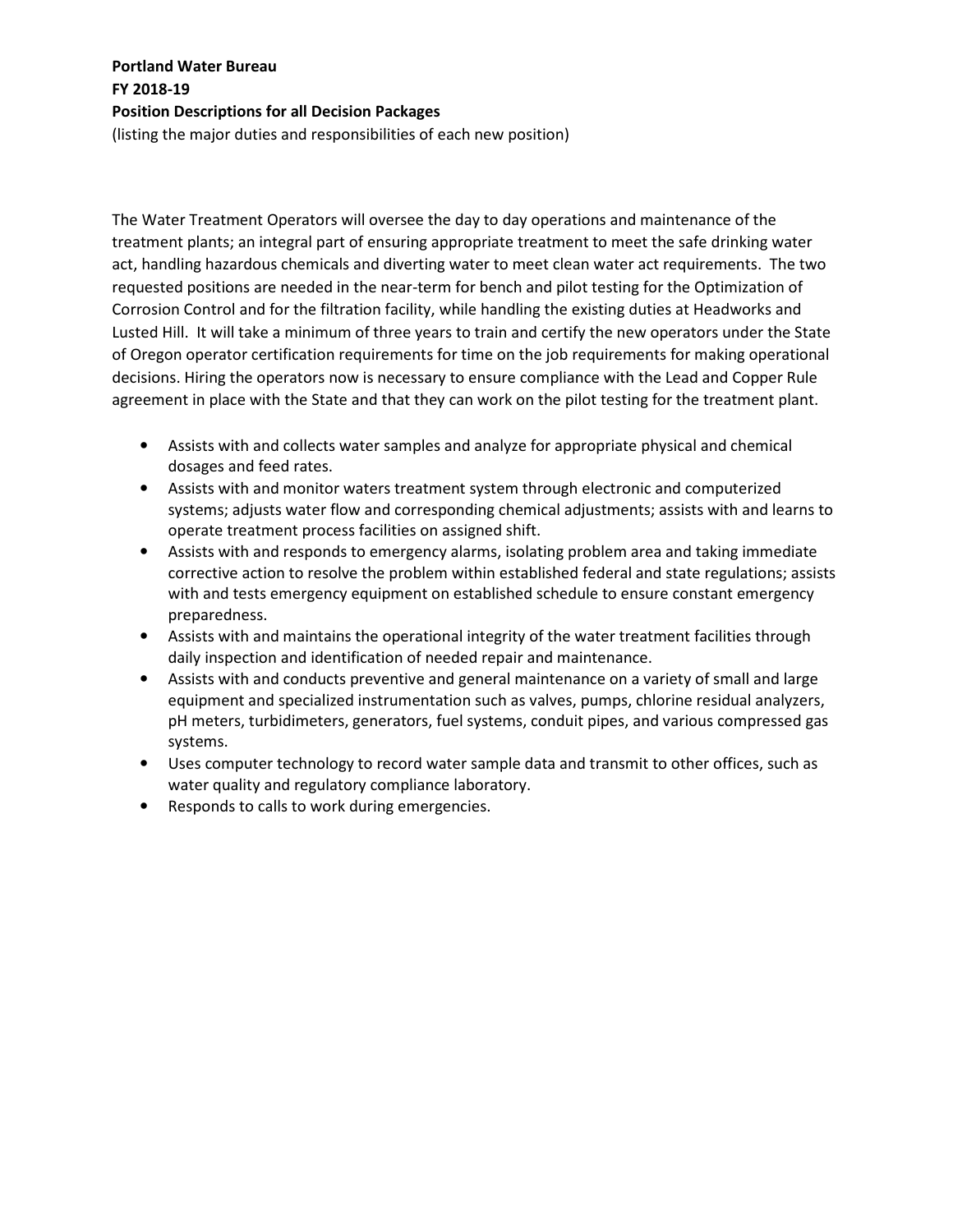(listing the major duties and responsibilities of each new position)

The Water Treatment Operators will oversee the day to day operations and maintenance of the treatment plants; an integral part of ensuring appropriate treatment to meet the safe drinking water act, handling hazardous chemicals and diverting water to meet clean water act requirements. The two requested positions are needed in the near-term for bench and pilot testing for the Optimization of Corrosion Control and for the filtration facility, while handling the existing duties at Headworks and Lusted Hill. It will take a minimum of three years to train and certify the new operators under the State of Oregon operator certification requirements for time on the job requirements for making operational decisions. Hiring the operators now is necessary to ensure compliance with the Lead and Copper Rule agreement in place with the State and that they can work on the pilot testing for the treatment plant.

- Assists with and collects water samples and analyze for appropriate physical and chemical dosages and feed rates.
- Assists with and monitor waters treatment system through electronic and computerized systems; adjusts water flow and corresponding chemical adjustments; assists with and learns to operate treatment process facilities on assigned shift.
- Assists with and responds to emergency alarms, isolating problem area and taking immediate corrective action to resolve the problem within established federal and state regulations; assists with and tests emergency equipment on established schedule to ensure constant emergency preparedness.
- Assists with and maintains the operational integrity of the water treatment facilities through daily inspection and identification of needed repair and maintenance.
- Assists with and conducts preventive and general maintenance on a variety of small and large equipment and specialized instrumentation such as valves, pumps, chlorine residual analyzers, pH meters, turbidimeters, generators, fuel systems, conduit pipes, and various compressed gas systems.
- Uses computer technology to record water sample data and transmit to other offices, such as water quality and regulatory compliance laboratory.
- Responds to calls to work during emergencies.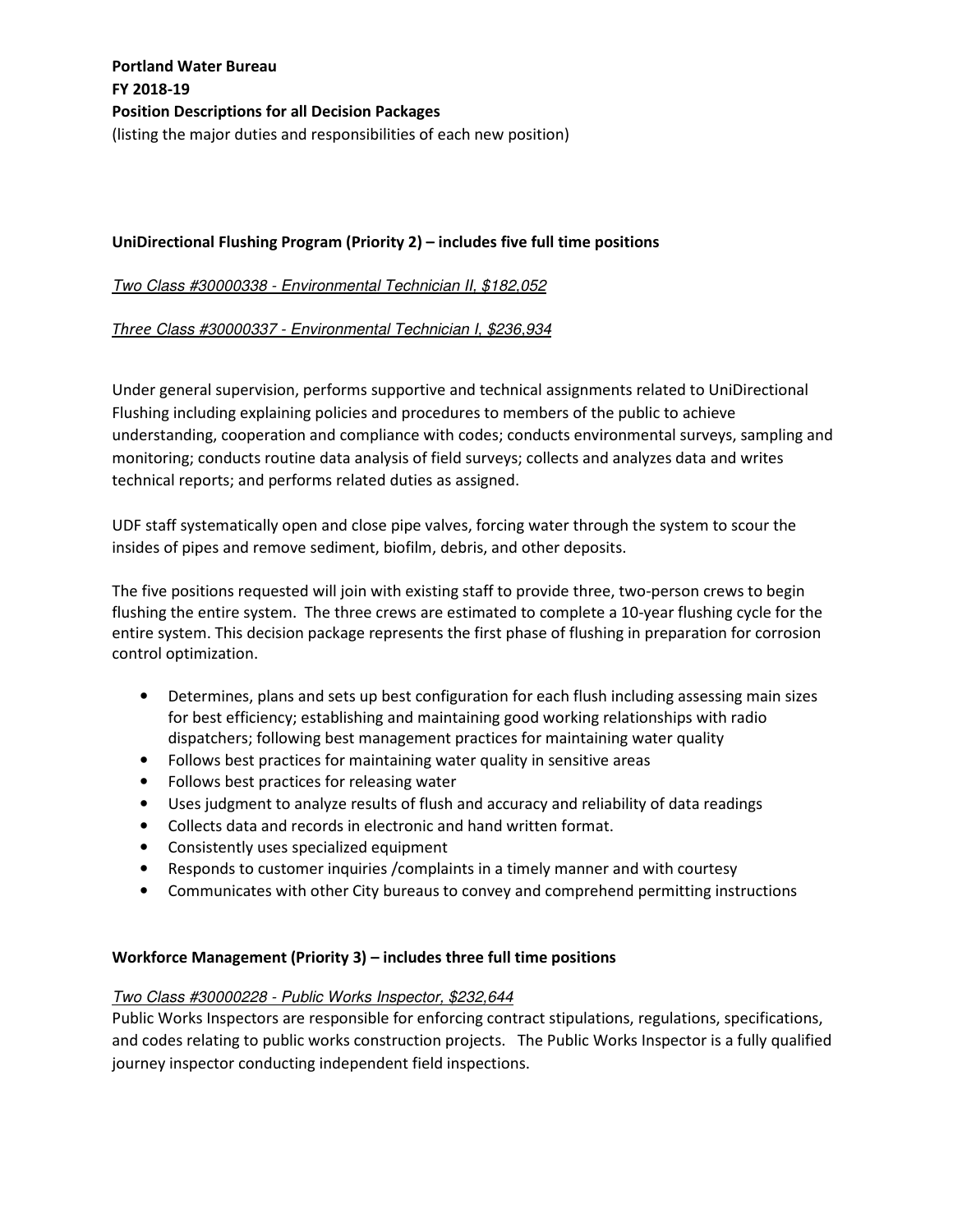### **UniDirectional Flushing Program (Priority 2) – includes five full time positions**

Two Class #30000338 - Environmental Technician II, \$182,052

### *Three* Class #30000337 - Environmental Technician I, \$236,934

Under general supervision, performs supportive and technical assignments related to UniDirectional Flushing including explaining policies and procedures to members of the public to achieve understanding, cooperation and compliance with codes; conducts environmental surveys, sampling and monitoring; conducts routine data analysis of field surveys; collects and analyzes data and writes technical reports; and performs related duties as assigned.

UDF staff systematically open and close pipe valves, forcing water through the system to scour the insides of pipes and remove sediment, biofilm, debris, and other deposits.

The five positions requested will join with existing staff to provide three, two-person crews to begin flushing the entire system. The three crews are estimated to complete a 10-year flushing cycle for the entire system. This decision package represents the first phase of flushing in preparation for corrosion control optimization.

- Determines, plans and sets up best configuration for each flush including assessing main sizes for best efficiency; establishing and maintaining good working relationships with radio dispatchers; following best management practices for maintaining water quality
- Follows best practices for maintaining water quality in sensitive areas
- Follows best practices for releasing water
- Uses judgment to analyze results of flush and accuracy and reliability of data readings
- Collects data and records in electronic and hand written format.
- Consistently uses specialized equipment
- Responds to customer inquiries /complaints in a timely manner and with courtesy
- Communicates with other City bureaus to convey and comprehend permitting instructions

### **Workforce Management (Priority 3) – includes three full time positions**

#### Two Class #30000228 - Public Works Inspector, \$232,644

Public Works Inspectors are responsible for enforcing contract stipulations, regulations, specifications, and codes relating to public works construction projects. The Public Works Inspector is a fully qualified journey inspector conducting independent field inspections.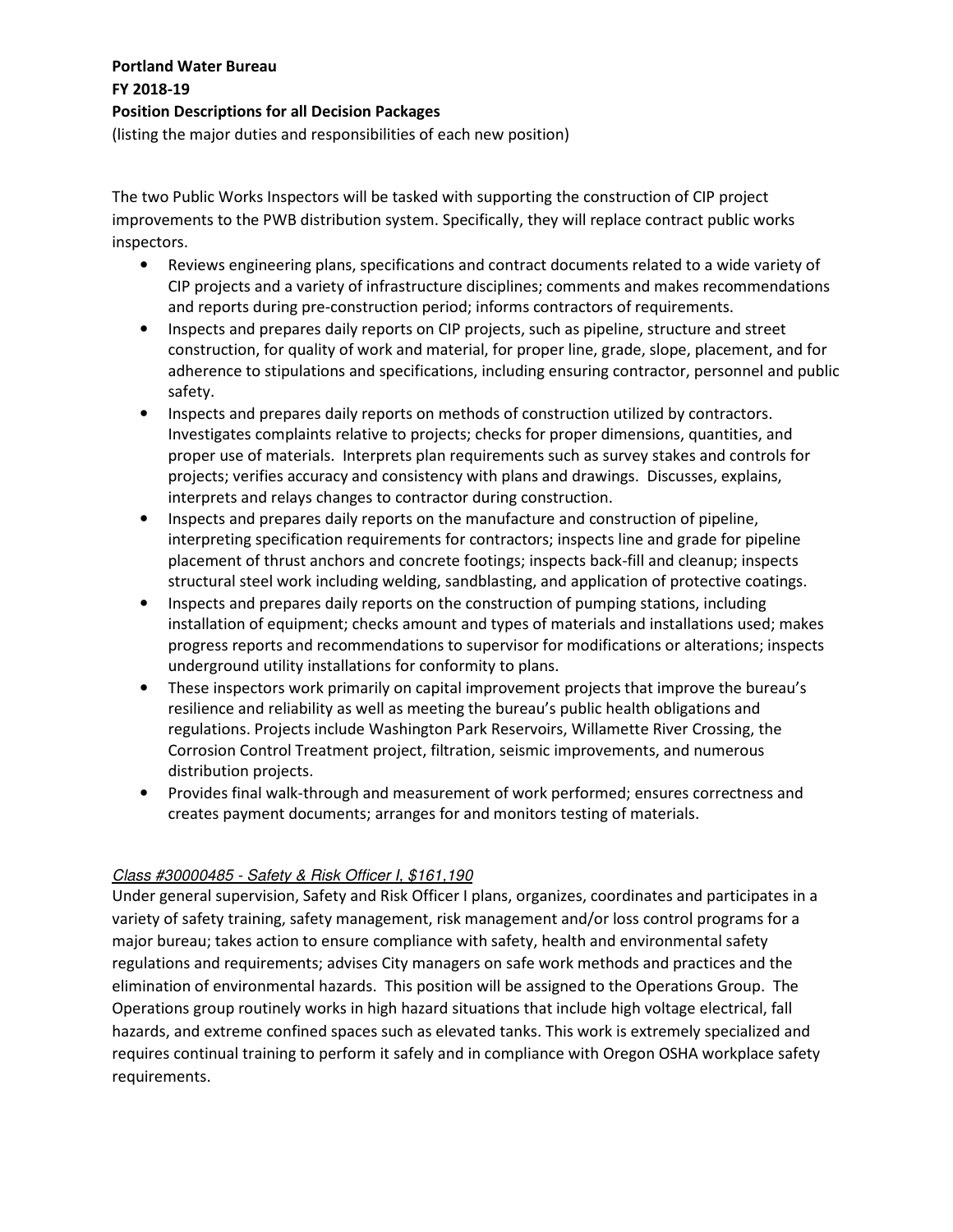(listing the major duties and responsibilities of each new position)

The two Public Works Inspectors will be tasked with supporting the construction of CIP project improvements to the PWB distribution system. Specifically, they will replace contract public works inspectors.

- Reviews engineering plans, specifications and contract documents related to a wide variety of CIP projects and a variety of infrastructure disciplines; comments and makes recommendations and reports during pre-construction period; informs contractors of requirements.
- Inspects and prepares daily reports on CIP projects, such as pipeline, structure and street construction, for quality of work and material, for proper line, grade, slope, placement, and for adherence to stipulations and specifications, including ensuring contractor, personnel and public safety.
- Inspects and prepares daily reports on methods of construction utilized by contractors. Investigates complaints relative to projects; checks for proper dimensions, quantities, and proper use of materials. Interprets plan requirements such as survey stakes and controls for projects; verifies accuracy and consistency with plans and drawings. Discusses, explains, interprets and relays changes to contractor during construction.
- Inspects and prepares daily reports on the manufacture and construction of pipeline, interpreting specification requirements for contractors; inspects line and grade for pipeline placement of thrust anchors and concrete footings; inspects back-fill and cleanup; inspects structural steel work including welding, sandblasting, and application of protective coatings.
- Inspects and prepares daily reports on the construction of pumping stations, including installation of equipment; checks amount and types of materials and installations used; makes progress reports and recommendations to supervisor for modifications or alterations; inspects underground utility installations for conformity to plans.
- These inspectors work primarily on capital improvement projects that improve the bureau's resilience and reliability as well as meeting the bureau's public health obligations and regulations. Projects include Washington Park Reservoirs, Willamette River Crossing, the Corrosion Control Treatment project, filtration, seismic improvements, and numerous distribution projects.
- Provides final walk-through and measurement of work performed; ensures correctness and creates payment documents; arranges for and monitors testing of materials.

### Class #30000485 - Safety & Risk Officer I, \$161,190

Under general supervision, Safety and Risk Officer I plans, organizes, coordinates and participates in a variety of safety training, safety management, risk management and/or loss control programs for a major bureau; takes action to ensure compliance with safety, health and environmental safety regulations and requirements; advises City managers on safe work methods and practices and the elimination of environmental hazards. This position will be assigned to the Operations Group. The Operations group routinely works in high hazard situations that include high voltage electrical, fall hazards, and extreme confined spaces such as elevated tanks. This work is extremely specialized and requires continual training to perform it safely and in compliance with Oregon OSHA workplace safety requirements.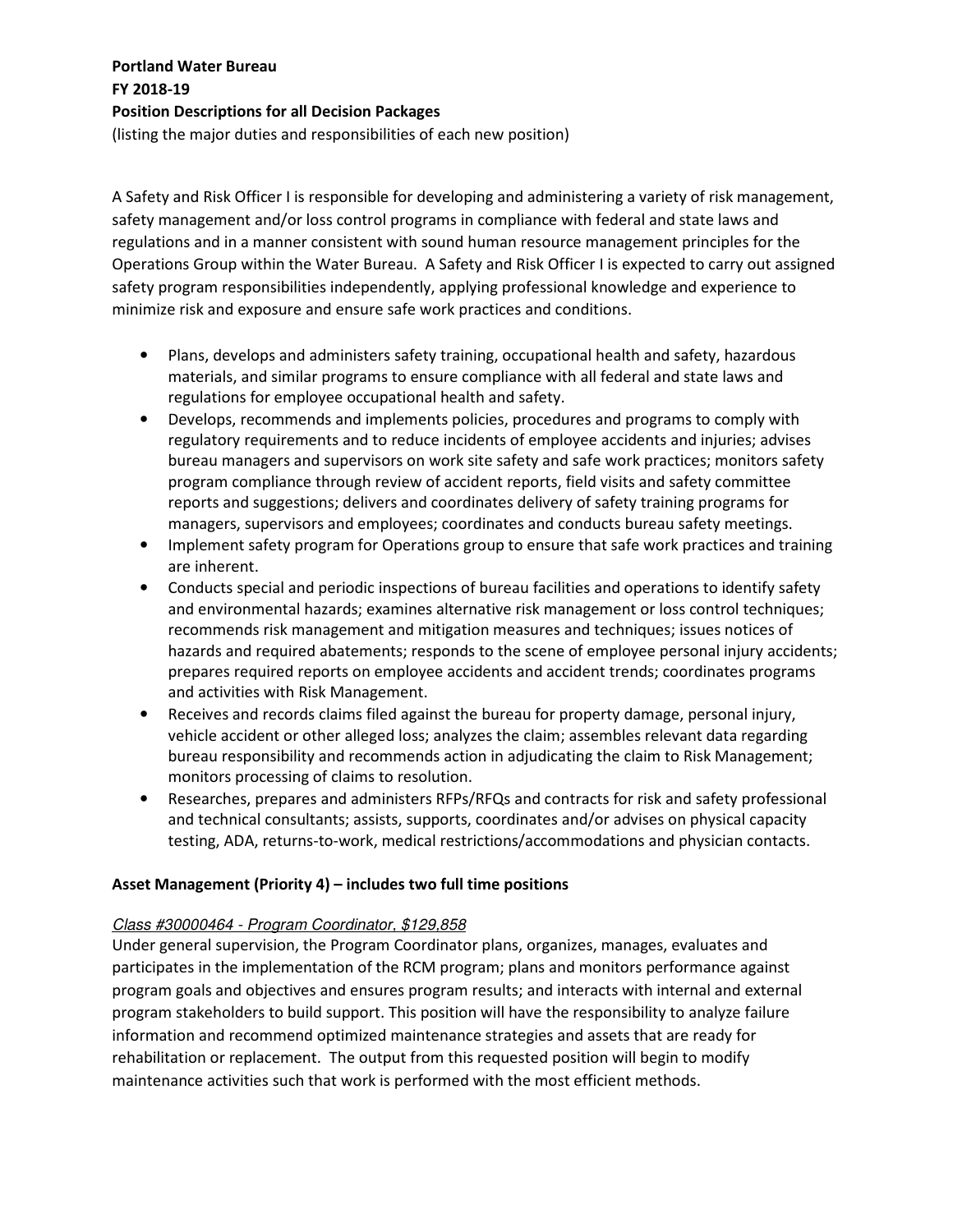(listing the major duties and responsibilities of each new position)

A Safety and Risk Officer I is responsible for developing and administering a variety of risk management, safety management and/or loss control programs in compliance with federal and state laws and regulations and in a manner consistent with sound human resource management principles for the Operations Group within the Water Bureau. A Safety and Risk Officer I is expected to carry out assigned safety program responsibilities independently, applying professional knowledge and experience to minimize risk and exposure and ensure safe work practices and conditions.

- Plans, develops and administers safety training, occupational health and safety, hazardous materials, and similar programs to ensure compliance with all federal and state laws and regulations for employee occupational health and safety.
- Develops, recommends and implements policies, procedures and programs to comply with regulatory requirements and to reduce incidents of employee accidents and injuries; advises bureau managers and supervisors on work site safety and safe work practices; monitors safety program compliance through review of accident reports, field visits and safety committee reports and suggestions; delivers and coordinates delivery of safety training programs for managers, supervisors and employees; coordinates and conducts bureau safety meetings.
- Implement safety program for Operations group to ensure that safe work practices and training are inherent.
- Conducts special and periodic inspections of bureau facilities and operations to identify safety and environmental hazards; examines alternative risk management or loss control techniques; recommends risk management and mitigation measures and techniques; issues notices of hazards and required abatements; responds to the scene of employee personal injury accidents; prepares required reports on employee accidents and accident trends; coordinates programs and activities with Risk Management.
- Receives and records claims filed against the bureau for property damage, personal injury, vehicle accident or other alleged loss; analyzes the claim; assembles relevant data regarding bureau responsibility and recommends action in adjudicating the claim to Risk Management; monitors processing of claims to resolution.
- Researches, prepares and administers RFPs/RFQs and contracts for risk and safety professional and technical consultants; assists, supports, coordinates and/or advises on physical capacity testing, ADA, returns-to-work, medical restrictions/accommodations and physician contacts.

### **Asset Management (Priority 4) – includes two full time positions**

### Class #30000464 - Program Coordinator, \$129,858

Under general supervision, the Program Coordinator plans, organizes, manages, evaluates and participates in the implementation of the RCM program; plans and monitors performance against program goals and objectives and ensures program results; and interacts with internal and external program stakeholders to build support. This position will have the responsibility to analyze failure information and recommend optimized maintenance strategies and assets that are ready for rehabilitation or replacement. The output from this requested position will begin to modify maintenance activities such that work is performed with the most efficient methods.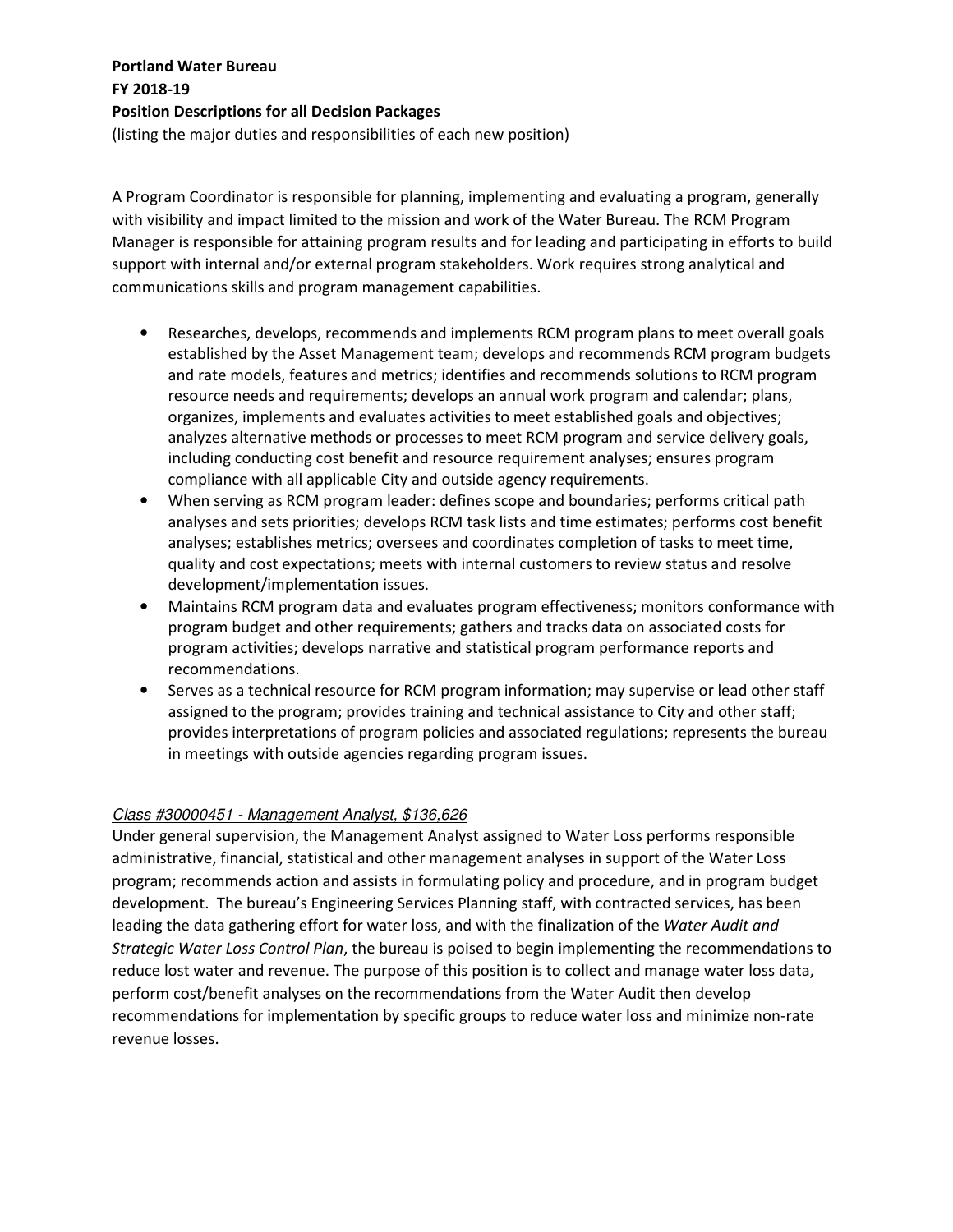(listing the major duties and responsibilities of each new position)

A Program Coordinator is responsible for planning, implementing and evaluating a program, generally with visibility and impact limited to the mission and work of the Water Bureau. The RCM Program Manager is responsible for attaining program results and for leading and participating in efforts to build support with internal and/or external program stakeholders. Work requires strong analytical and communications skills and program management capabilities.

- Researches, develops, recommends and implements RCM program plans to meet overall goals established by the Asset Management team; develops and recommends RCM program budgets and rate models, features and metrics; identifies and recommends solutions to RCM program resource needs and requirements; develops an annual work program and calendar; plans, organizes, implements and evaluates activities to meet established goals and objectives; analyzes alternative methods or processes to meet RCM program and service delivery goals, including conducting cost benefit and resource requirement analyses; ensures program compliance with all applicable City and outside agency requirements.
- When serving as RCM program leader: defines scope and boundaries; performs critical path analyses and sets priorities; develops RCM task lists and time estimates; performs cost benefit analyses; establishes metrics; oversees and coordinates completion of tasks to meet time, quality and cost expectations; meets with internal customers to review status and resolve development/implementation issues.
- Maintains RCM program data and evaluates program effectiveness; monitors conformance with program budget and other requirements; gathers and tracks data on associated costs for program activities; develops narrative and statistical program performance reports and recommendations.
- Serves as a technical resource for RCM program information; may supervise or lead other staff assigned to the program; provides training and technical assistance to City and other staff; provides interpretations of program policies and associated regulations; represents the bureau in meetings with outside agencies regarding program issues.

### Class #30000451 - Management Analyst, \$136,626

Under general supervision, the Management Analyst assigned to Water Loss performs responsible administrative, financial, statistical and other management analyses in support of the Water Loss program; recommends action and assists in formulating policy and procedure, and in program budget development. The bureau's Engineering Services Planning staff, with contracted services, has been leading the data gathering effort for water loss, and with the finalization of the *Water Audit and Strategic Water Loss Control Plan*, the bureau is poised to begin implementing the recommendations to reduce lost water and revenue. The purpose of this position is to collect and manage water loss data, perform cost/benefit analyses on the recommendations from the Water Audit then develop recommendations for implementation by specific groups to reduce water loss and minimize non-rate revenue losses.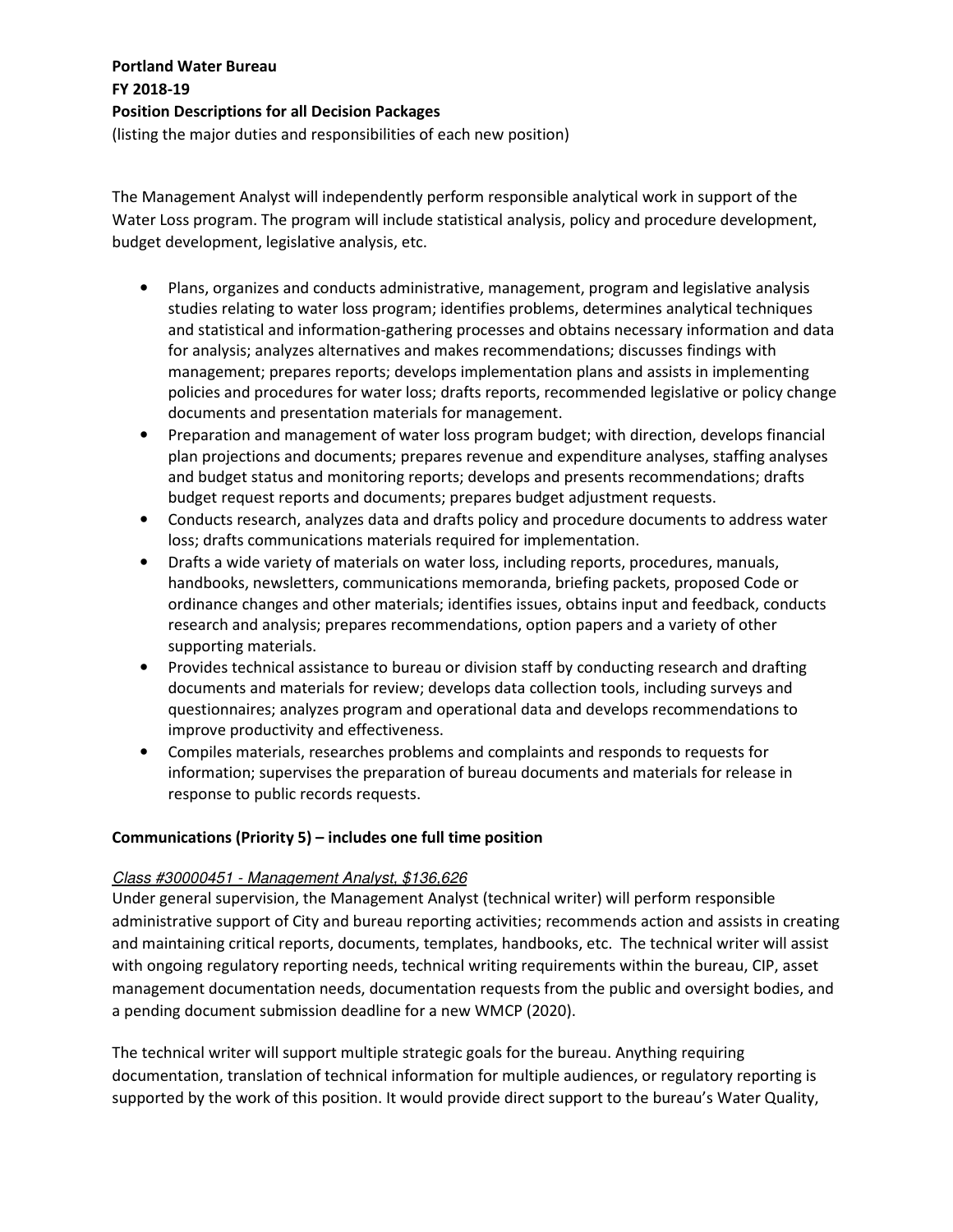(listing the major duties and responsibilities of each new position)

The Management Analyst will independently perform responsible analytical work in support of the Water Loss program. The program will include statistical analysis, policy and procedure development, budget development, legislative analysis, etc.

- Plans, organizes and conducts administrative, management, program and legislative analysis studies relating to water loss program; identifies problems, determines analytical techniques and statistical and information-gathering processes and obtains necessary information and data for analysis; analyzes alternatives and makes recommendations; discusses findings with management; prepares reports; develops implementation plans and assists in implementing policies and procedures for water loss; drafts reports, recommended legislative or policy change documents and presentation materials for management.
- Preparation and management of water loss program budget; with direction, develops financial plan projections and documents; prepares revenue and expenditure analyses, staffing analyses and budget status and monitoring reports; develops and presents recommendations; drafts budget request reports and documents; prepares budget adjustment requests.
- Conducts research, analyzes data and drafts policy and procedure documents to address water loss; drafts communications materials required for implementation.
- Drafts a wide variety of materials on water loss, including reports, procedures, manuals, handbooks, newsletters, communications memoranda, briefing packets, proposed Code or ordinance changes and other materials; identifies issues, obtains input and feedback, conducts research and analysis; prepares recommendations, option papers and a variety of other supporting materials.
- Provides technical assistance to bureau or division staff by conducting research and drafting documents and materials for review; develops data collection tools, including surveys and questionnaires; analyzes program and operational data and develops recommendations to improve productivity and effectiveness.
- Compiles materials, researches problems and complaints and responds to requests for information; supervises the preparation of bureau documents and materials for release in response to public records requests.

#### **Communications (Priority 5) – includes one full time position**

#### Class #30000451 - Management Analyst, \$136,626

Under general supervision, the Management Analyst (technical writer) will perform responsible administrative support of City and bureau reporting activities; recommends action and assists in creating and maintaining critical reports, documents, templates, handbooks, etc. The technical writer will assist with ongoing regulatory reporting needs, technical writing requirements within the bureau, CIP, asset management documentation needs, documentation requests from the public and oversight bodies, and a pending document submission deadline for a new WMCP (2020).

The technical writer will support multiple strategic goals for the bureau. Anything requiring documentation, translation of technical information for multiple audiences, or regulatory reporting is supported by the work of this position. It would provide direct support to the bureau's Water Quality,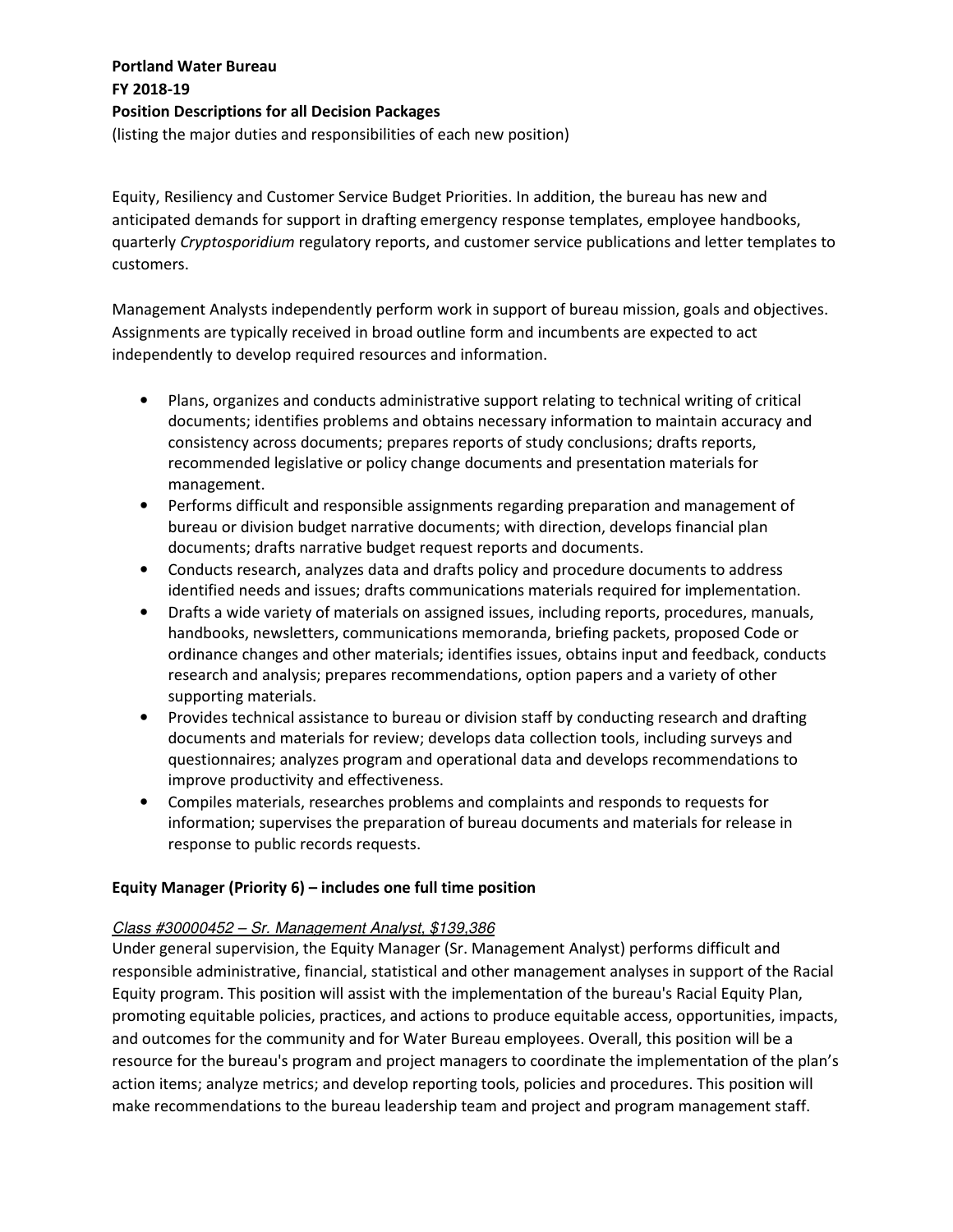(listing the major duties and responsibilities of each new position)

Equity, Resiliency and Customer Service Budget Priorities. In addition, the bureau has new and anticipated demands for support in drafting emergency response templates, employee handbooks, quarterly *Cryptosporidium* regulatory reports, and customer service publications and letter templates to customers.

Management Analysts independently perform work in support of bureau mission, goals and objectives. Assignments are typically received in broad outline form and incumbents are expected to act independently to develop required resources and information.

- Plans, organizes and conducts administrative support relating to technical writing of critical documents; identifies problems and obtains necessary information to maintain accuracy and consistency across documents; prepares reports of study conclusions; drafts reports, recommended legislative or policy change documents and presentation materials for management.
- Performs difficult and responsible assignments regarding preparation and management of bureau or division budget narrative documents; with direction, develops financial plan documents; drafts narrative budget request reports and documents.
- Conducts research, analyzes data and drafts policy and procedure documents to address identified needs and issues; drafts communications materials required for implementation.
- Drafts a wide variety of materials on assigned issues, including reports, procedures, manuals, handbooks, newsletters, communications memoranda, briefing packets, proposed Code or ordinance changes and other materials; identifies issues, obtains input and feedback, conducts research and analysis; prepares recommendations, option papers and a variety of other supporting materials.
- Provides technical assistance to bureau or division staff by conducting research and drafting documents and materials for review; develops data collection tools, including surveys and questionnaires; analyzes program and operational data and develops recommendations to improve productivity and effectiveness.
- Compiles materials, researches problems and complaints and responds to requests for information; supervises the preparation of bureau documents and materials for release in response to public records requests.

### **Equity Manager (Priority 6) – includes one full time position**

### Class #30000452 – Sr. Management Analyst, \$139,386

Under general supervision, the Equity Manager (Sr. Management Analyst) performs difficult and responsible administrative, financial, statistical and other management analyses in support of the Racial Equity program. This position will assist with the implementation of the bureau's Racial Equity Plan, promoting equitable policies, practices, and actions to produce equitable access, opportunities, impacts, and outcomes for the community and for Water Bureau employees. Overall, this position will be a resource for the bureau's program and project managers to coordinate the implementation of the plan's action items; analyze metrics; and develop reporting tools, policies and procedures. This position will make recommendations to the bureau leadership team and project and program management staff.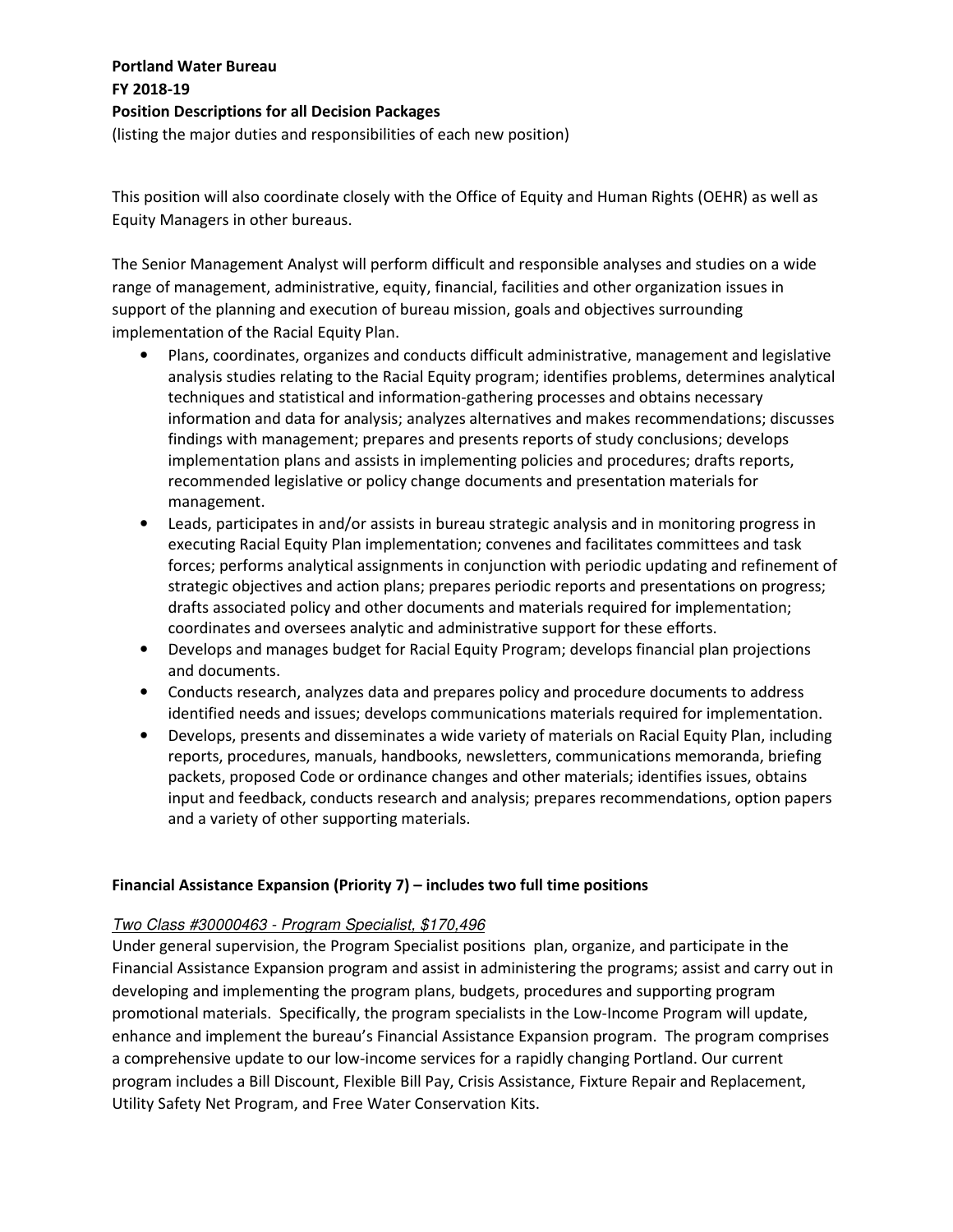This position will also coordinate closely with the Office of Equity and Human Rights (OEHR) as well as Equity Managers in other bureaus.

The Senior Management Analyst will perform difficult and responsible analyses and studies on a wide range of management, administrative, equity, financial, facilities and other organization issues in support of the planning and execution of bureau mission, goals and objectives surrounding implementation of the Racial Equity Plan.

- Plans, coordinates, organizes and conducts difficult administrative, management and legislative analysis studies relating to the Racial Equity program; identifies problems, determines analytical techniques and statistical and information-gathering processes and obtains necessary information and data for analysis; analyzes alternatives and makes recommendations; discusses findings with management; prepares and presents reports of study conclusions; develops implementation plans and assists in implementing policies and procedures; drafts reports, recommended legislative or policy change documents and presentation materials for management.
- Leads, participates in and/or assists in bureau strategic analysis and in monitoring progress in executing Racial Equity Plan implementation; convenes and facilitates committees and task forces; performs analytical assignments in conjunction with periodic updating and refinement of strategic objectives and action plans; prepares periodic reports and presentations on progress; drafts associated policy and other documents and materials required for implementation; coordinates and oversees analytic and administrative support for these efforts.
- Develops and manages budget for Racial Equity Program; develops financial plan projections and documents.
- Conducts research, analyzes data and prepares policy and procedure documents to address identified needs and issues; develops communications materials required for implementation.
- Develops, presents and disseminates a wide variety of materials on Racial Equity Plan, including reports, procedures, manuals, handbooks, newsletters, communications memoranda, briefing packets, proposed Code or ordinance changes and other materials; identifies issues, obtains input and feedback, conducts research and analysis; prepares recommendations, option papers and a variety of other supporting materials.

### **Financial Assistance Expansion (Priority 7) – includes two full time positions**

### Two Class #30000463 - Program Specialist, \$170,496

Under general supervision, the Program Specialist positions plan, organize, and participate in the Financial Assistance Expansion program and assist in administering the programs; assist and carry out in developing and implementing the program plans, budgets, procedures and supporting program promotional materials. Specifically, the program specialists in the Low-Income Program will update, enhance and implement the bureau's Financial Assistance Expansion program. The program comprises a comprehensive update to our low-income services for a rapidly changing Portland. Our current program includes a Bill Discount, Flexible Bill Pay, Crisis Assistance, Fixture Repair and Replacement, Utility Safety Net Program, and Free Water Conservation Kits.